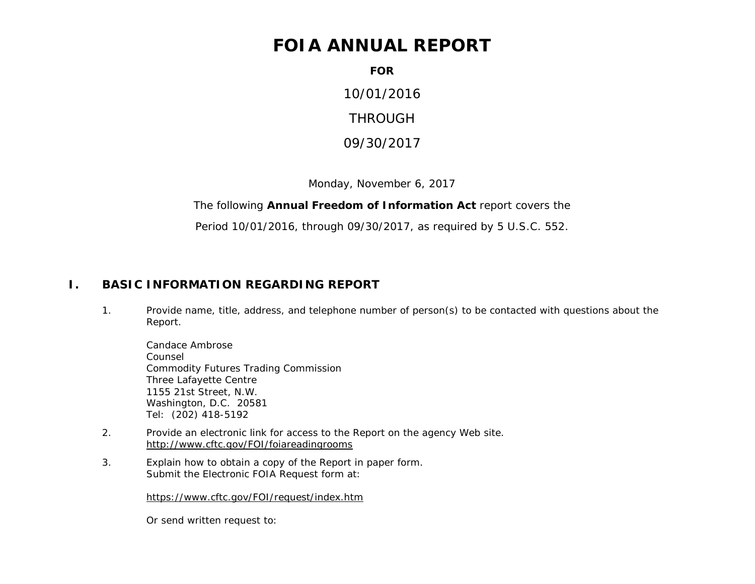# **FOIA ANNUAL REPORT**

**FOR**

10/01/2016 THROUGH

09/30/2017

Monday, November 6, 2017

The following **Annual Freedom of Information Act** report covers the

Period 10/01/2016, through 09/30/2017, as required by 5 U.S.C. 552.

#### **I. BASIC INFORMATION REGARDING REPORT**

1. Provide name, title, address, and telephone number of person(s) to be contacted with questions about the Report.

Candace Ambrose Counsel Commodity Futures Trading Commission Three Lafayette Centre 1155 21st Street, N.W. Washington, D.C. 20581 Tel: (202) 418-5192

- 2. Provide an electronic link for access to the Report on the agency Web site. <http://www.cftc.gov/FOI/foiareadingrooms>
- 3. Explain how to obtain a copy of the Report in paper form. Submit the Electronic FOIA Request form at:

<https://www.cftc.gov/FOI/request/index.htm>

Or send written request to: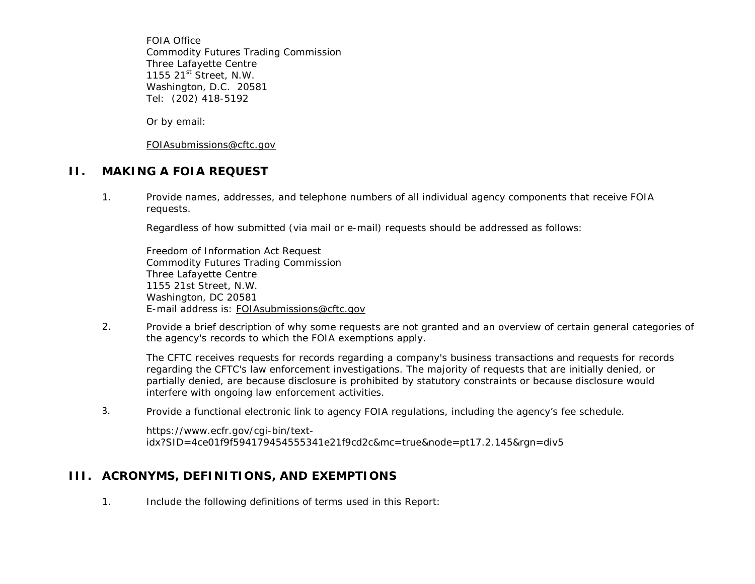FOIA Office Commodity Futures Trading Commission Three Lafayette Centre 1155 21<sup>st</sup> Street, N.W. Washington, D.C. 20581 Tel: (202) 418-5192

Or by email:

[FOIAsubmissions@cftc.gov](mailto:FOIAsubmissions@cftc.gov)

#### **II. MAKING A FOIA REQUEST**

1. Provide names, addresses, and telephone numbers of all individual agency components that receive FOIA requests.

Regardless of how submitted (via mail or e-mail) requests should be addressed as follows:

Freedom of Information Act Request Commodity Futures Trading Commission Three Lafayette Centre 1155 21st Street, N.W. Washington, DC 20581 E-mail address is: [FOIAsubmissions@cftc.gov](mailto:FOIAsubmissions@cftc.gov)

2. Provide a brief description of why some requests are not granted and an overview of certain general categories of the agency's records to which the FOIA exemptions apply.

The CFTC receives requests for records regarding a company's business transactions and requests for records regarding the CFTC's law enforcement investigations. The majority of requests that are initially denied, or partially denied, are because disclosure is prohibited by statutory constraints or because disclosure would interfere with ongoing law enforcement activities.

3. Provide a functional electronic link to agency FOIA regulations, including the agency's fee schedule.

https://www.ecfr.gov/cgi-bin/textidx?SID=4ce01f9f594179454555341e21f9cd2c&mc=true&node=pt17.2.145&rgn=div5

#### **III. ACRONYMS, DEFINITIONS, AND EXEMPTIONS**

1. Include the following definitions of terms used in this Report: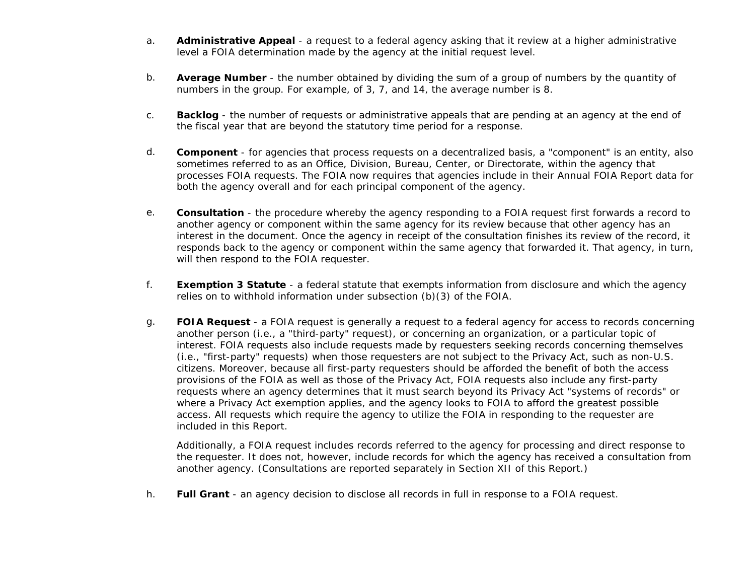- a. **Administrative Appeal** a request to a federal agency asking that it review at a higher administrative level a FOIA determination made by the agency at the initial request level.
- b. **Average Number** the number obtained by dividing the sum of a group of numbers by the quantity of numbers in the group. For example, of 3, 7, and 14, the average number is 8.
- c. **Backlog** the number of requests or administrative appeals that are pending at an agency at the end of the fiscal year that are beyond the statutory time period for a response.
- d. **Component** for agencies that process requests on a decentralized basis, a "component" is an entity, also sometimes referred to as an Office, Division, Bureau, Center, or Directorate, within the agency that processes FOIA requests. The FOIA now requires that agencies include in their Annual FOIA Report data for both the agency overall and for each principal component of the agency.
- e. **Consultation** the procedure whereby the agency responding to a FOIA request first forwards a record to another agency or component within the same agency for its review because that other agency has an interest in the document. Once the agency in receipt of the consultation finishes its review of the record, it responds back to the agency or component within the same agency that forwarded it. That agency, in turn, will then respond to the FOIA requester.
- f. **Exemption 3 Statute** a federal statute that exempts information from disclosure and which the agency relies on to withhold information under subsection (b)(3) of the FOIA.
- g. **FOIA Request** a FOIA request is generally a request to a federal agency for access to records concerning another person (i.e., a "third-party" request), or concerning an organization, or a particular topic of interest. FOIA requests also include requests made by requesters seeking records concerning themselves (i.e., "first-party" requests) when those requesters are not subject to the Privacy Act, such as non-U.S. citizens. Moreover, because all first-party requesters should be afforded the benefit of both the access provisions of the FOIA as well as those of the Privacy Act, FOIA requests also include any first-party requests where an agency determines that it must search beyond its Privacy Act "systems of records" or where a Privacy Act exemption applies, and the agency looks to FOIA to afford the greatest possible access. All requests which require the agency to utilize the FOIA in responding to the requester are included in this Report.

Additionally, a FOIA request includes records referred to the agency for processing and direct response to the requester. It does not, however, include records for which the agency has received a consultation from another agency. (Consultations are reported separately in Section XII of this Report.)

h. **Full Grant** - an agency decision to disclose all records in full in response to a FOIA request.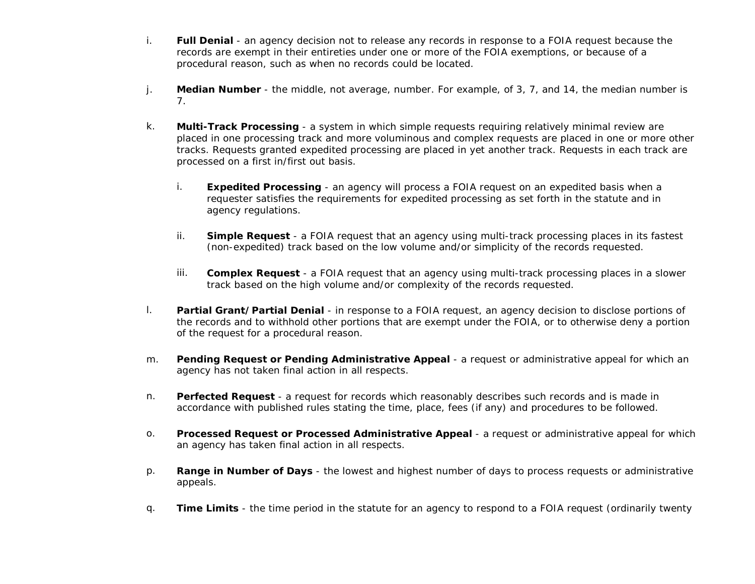- i. **Full Denial** an agency decision not to release any records in response to a FOIA request because the records are exempt in their entireties under one or more of the FOIA exemptions, or because of a procedural reason, such as when no records could be located.
- j. **Median Number** the middle, not average, number. For example, of 3, 7, and 14, the median number is 7.
- k. **Multi-Track Processing** a system in which simple requests requiring relatively minimal review are placed in one processing track and more voluminous and complex requests are placed in one or more other tracks. Requests granted expedited processing are placed in yet another track. Requests in each track are processed on a first in/first out basis.
	- i. **Expedited Processing** an agency will process a FOIA request on an expedited basis when a requester satisfies the requirements for expedited processing as set forth in the statute and in agency regulations.
	- ii. **Simple Request** a FOIA request that an agency using multi-track processing places in its fastest (non-expedited) track based on the low volume and/or simplicity of the records requested.
	- iii. **Complex Request** a FOIA request that an agency using multi-track processing places in a slower track based on the high volume and/or complexity of the records requested.
- l. **Partial Grant/Partial Denial** in response to a FOIA request, an agency decision to disclose portions of the records and to withhold other portions that are exempt under the FOIA, or to otherwise deny a portion of the request for a procedural reason.
- m. **Pending Request or Pending Administrative Appeal** a request or administrative appeal for which an agency has not taken final action in all respects.
- n. **Perfected Request**  a request for records which reasonably describes such records and is made in accordance with published rules stating the time, place, fees (if any) and procedures to be followed.
- o. **Processed Request or Processed Administrative Appeal**  a request or administrative appeal for which an agency has taken final action in all respects.
- p. **Range in Number of Days** the lowest and highest number of days to process requests or administrative appeals.
- q. **Time Limits** the time period in the statute for an agency to respond to a FOIA request (ordinarily twenty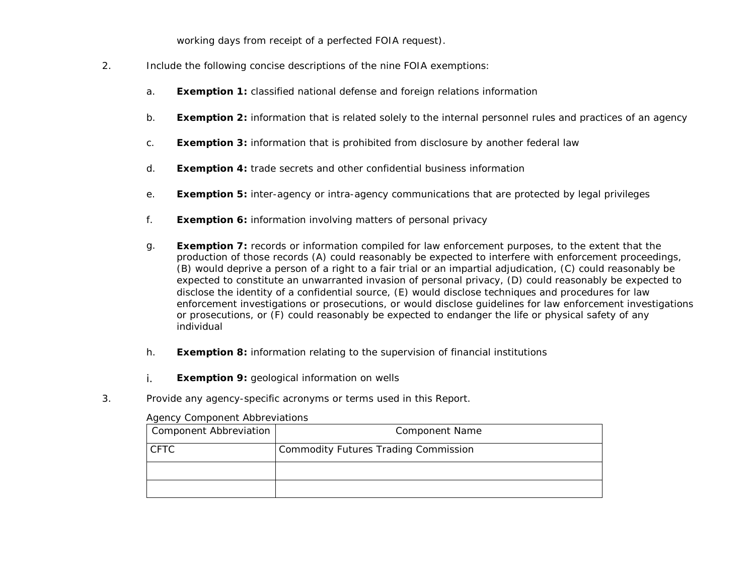working days from receipt of a perfected FOIA request).

- 2. Include the following concise descriptions of the nine FOIA exemptions:
	- a. **Exemption 1:** classified national defense and foreign relations information
	- b. **Exemption 2:** information that is related solely to the internal personnel rules and practices of an agency
	- c. **Exemption 3:** information that is prohibited from disclosure by another federal law
	- d. **Exemption 4:** trade secrets and other confidential business information
	- e. **Exemption 5:** inter-agency or intra-agency communications that are protected by legal privileges
	- f. **Exemption 6:** information involving matters of personal privacy
	- g. **Exemption 7:** records or information compiled for law enforcement purposes, to the extent that the production of those records (A) could reasonably be expected to interfere with enforcement proceedings, (B) would deprive a person of a right to a fair trial or an impartial adjudication, (C) could reasonably be expected to constitute an unwarranted invasion of personal privacy, (D) could reasonably be expected to disclose the identity of a confidential source, (E) would disclose techniques and procedures for law enforcement investigations or prosecutions, or would disclose guidelines for law enforcement investigations or prosecutions, or (F) could reasonably be expected to endanger the life or physical safety of any individual
	- h. **Exemption 8:** information relating to the supervision of financial institutions
	- i. **Exemption 9:** geological information on wells
- 3. Provide any agency-specific acronyms or terms used in this Report.

#### Agency Component Abbreviations

| Component Abbreviation | <b>Component Name</b>                |
|------------------------|--------------------------------------|
| <b>CFTC</b>            | Commodity Futures Trading Commission |
|                        |                                      |
|                        |                                      |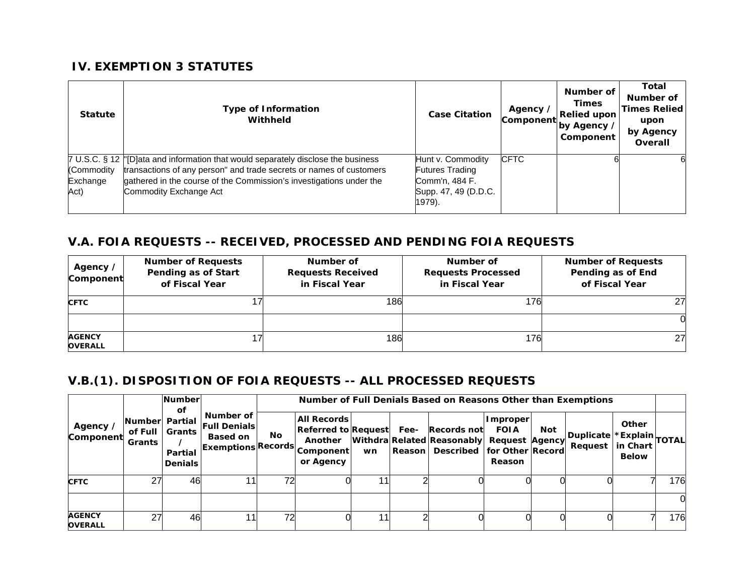#### **IV. EXEMPTION 3 STATUTES**

| <b>Statute</b>                 | <b>Type of Information</b><br>Withheld                                                                                                                                                                                                                     | <b>Case Citation</b>                                                                            | Agency /<br>Component | Number of<br><b>Times</b><br><b>Relied upon</b><br>by Agency /<br>Component | Total<br>Number of<br><b>Times Relied</b><br>upon<br>by Agency<br>Overall |
|--------------------------------|------------------------------------------------------------------------------------------------------------------------------------------------------------------------------------------------------------------------------------------------------------|-------------------------------------------------------------------------------------------------|-----------------------|-----------------------------------------------------------------------------|---------------------------------------------------------------------------|
| (Commodity<br>Exchange<br>Act) | 7 U.S.C. § 12  '[D]ata and information that would separately disclose the business<br>transactions of any person" and trade secrets or names of customers<br>gathered in the course of the Commission's investigations under the<br>Commodity Exchange Act | Hunt v. Commodity<br><b>Futures Trading</b><br>Comm'n, 484 F.<br>Supp. 47, 49 (D.D.C.<br>1979). | <b>CFTC</b>           |                                                                             |                                                                           |

### **V.A. FOIA REQUESTS -- RECEIVED, PROCESSED AND PENDING FOIA REQUESTS**

| Agency /<br>Component           | <b>Number of Requests</b><br>Pending as of Start<br>of Fiscal Year | Number of<br><b>Requests Received</b><br>in Fiscal Year | Number of<br><b>Requests Processed</b><br>in Fiscal Year | <b>Number of Requests</b><br>Pending as of End<br>of Fiscal Year |
|---------------------------------|--------------------------------------------------------------------|---------------------------------------------------------|----------------------------------------------------------|------------------------------------------------------------------|
| <b>CFTC</b>                     |                                                                    | 186                                                     | 176                                                      | 27                                                               |
|                                 |                                                                    |                                                         |                                                          |                                                                  |
| <b>AGENCY</b><br><b>OVERALL</b> |                                                                    | 186                                                     | 176                                                      | 27                                                               |

## **V.B.(1). DISPOSITION OF FOIA REQUESTS -- ALL PROCESSED REQUESTS**

|                                 |                                       | <b>Number</b>                                    |                                                                                    |     | Number of Full Denials Based on Reasons Other than Exemptions                         |    |                |                                                                                          |                                          |     |                               |                                   |               |
|---------------------------------|---------------------------------------|--------------------------------------------------|------------------------------------------------------------------------------------|-----|---------------------------------------------------------------------------------------|----|----------------|------------------------------------------------------------------------------------------|------------------------------------------|-----|-------------------------------|-----------------------------------|---------------|
| Agency /<br>Component           | Number Partial<br>of Full I<br>Grants | оf<br>Grants<br><b>Partial</b><br><b>Denials</b> | Number of<br><b>Full Denials</b><br><b>Based on</b><br><b>IExemptions Records.</b> | No. | <b>All Records</b><br><b>Referred to Request</b><br>Another<br>Component<br>or Agency | wn | Fee-<br>Reason | Records not<br>Withdra Related Reasonably Request Agency<br>Described   for Other Record | <b>Improper</b><br><b>FOIA</b><br>Reason | Not | Duplicate *Explain<br>Request | Other<br>in Chart<br><b>Below</b> | <b>TOTALI</b> |
| <b>CFTC</b>                     | 27                                    | 46                                               | $\overline{1}$                                                                     | 72  |                                                                                       |    |                |                                                                                          |                                          |     |                               |                                   | 176           |
|                                 |                                       |                                                  |                                                                                    |     |                                                                                       |    |                |                                                                                          |                                          |     |                               |                                   |               |
| <b>AGENCY</b><br><b>OVERALL</b> | 27                                    | 46                                               | l 1                                                                                | 72  |                                                                                       | 11 |                |                                                                                          |                                          |     |                               |                                   | 176           |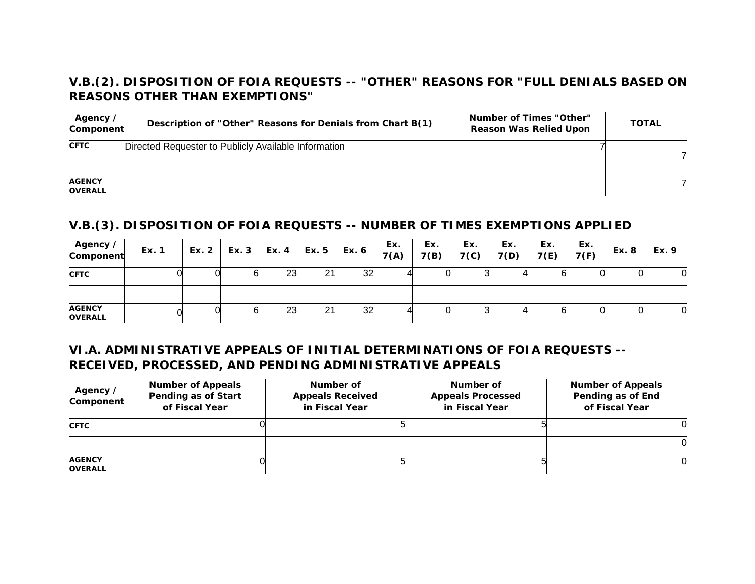## **V.B.(2). DISPOSITION OF FOIA REQUESTS -- "OTHER" REASONS FOR "FULL DENIALS BASED ON REASONS OTHER THAN EXEMPTIONS"**

| Agency /<br>Component           | Description of "Other" Reasons for Denials from Chart B(1) | Number of Times "Other"<br><b>Reason Was Relied Upon</b> | <b>TOTAL</b> |
|---------------------------------|------------------------------------------------------------|----------------------------------------------------------|--------------|
| <b>CFTC</b>                     | Directed Requester to Publicly Available Information       |                                                          |              |
| <b>AGENCY</b><br><b>OVERALL</b> |                                                            |                                                          |              |

## **V.B.(3). DISPOSITION OF FOIA REQUESTS -- NUMBER OF TIMES EXEMPTIONS APPLIED**

| Agency /<br>Component           | Ex. 1 | Ex. 2   Ex. 3 | $\vert$ Ex. 4 $\vert$ | Ex. 5 | Ex. 6 | Ex.<br>7(A) | Ex.<br>7(B) | Ex.<br>7 <sub>(c)</sub> | Ex.<br>7(D) | Ex.<br>7(E) | Ex.<br>7(F) | Ex. 8 | Ex. 9 |
|---------------------------------|-------|---------------|-----------------------|-------|-------|-------------|-------------|-------------------------|-------------|-------------|-------------|-------|-------|
| <b>CFTC</b>                     |       |               | ົດຕ<br>23             | 21    | 32    |             |             |                         |             |             |             |       |       |
|                                 |       |               |                       |       |       |             |             |                         |             |             |             |       |       |
| <b>AGENCY</b><br><b>OVERALL</b> |       |               | 23                    | 21    | 32    |             |             |                         |             |             |             |       |       |

#### **VI.A. ADMINISTRATIVE APPEALS OF INITIAL DETERMINATIONS OF FOIA REQUESTS -- RECEIVED, PROCESSED, AND PENDING ADMINISTRATIVE APPEALS**

| Agency /<br>Component           | <b>Number of Appeals</b><br>Pending as of Start<br>of Fiscal Year | Number of<br><b>Appeals Received</b><br>in Fiscal Year | Number of<br><b>Appeals Processed</b><br>in Fiscal Year | <b>Number of Appeals</b><br>Pending as of End<br>of Fiscal Year |
|---------------------------------|-------------------------------------------------------------------|--------------------------------------------------------|---------------------------------------------------------|-----------------------------------------------------------------|
| <b>CFTC</b>                     |                                                                   |                                                        |                                                         |                                                                 |
|                                 |                                                                   |                                                        |                                                         |                                                                 |
| <b>AGENCY</b><br><b>OVERALL</b> |                                                                   |                                                        |                                                         |                                                                 |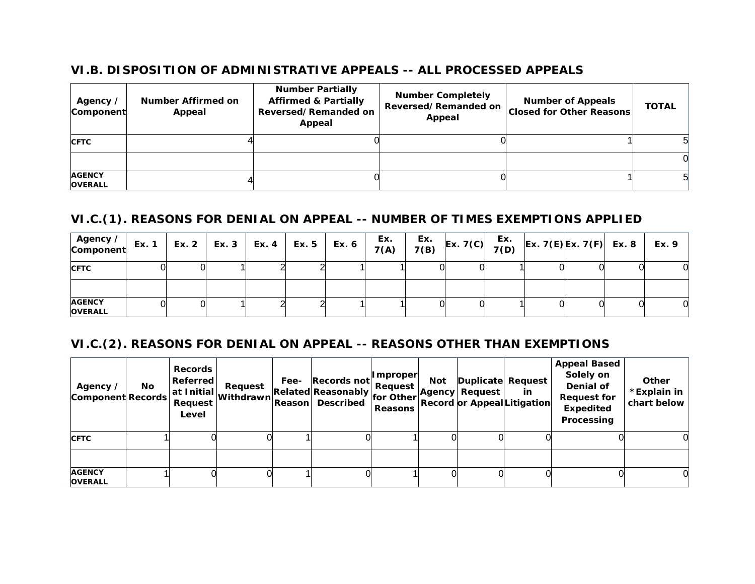#### **VI.B. DISPOSITION OF ADMINISTRATIVE APPEALS -- ALL PROCESSED APPEALS**

| Agency /<br>Component           | Number Affirmed on<br>Appeal | <b>Number Partially</b><br><b>Affirmed &amp; Partially</b><br>Reversed/Remanded on<br>Appeal | <b>Number Completely</b><br>Reversed/Remanded on<br>Appeal | <b>Number of Appeals</b><br><b>Closed for Other Reasons</b> | <b>TOTAL</b> |
|---------------------------------|------------------------------|----------------------------------------------------------------------------------------------|------------------------------------------------------------|-------------------------------------------------------------|--------------|
| <b>CFTC</b>                     |                              |                                                                                              |                                                            |                                                             |              |
|                                 |                              |                                                                                              |                                                            |                                                             |              |
| <b>AGENCY</b><br><b>OVERALL</b> |                              |                                                                                              |                                                            |                                                             |              |

#### **VI.C.(1). REASONS FOR DENIAL ON APPEAL -- NUMBER OF TIMES EXEMPTIONS APPLIED**

| Agency ∕<br>Component           | Ex. 1 | Ex. 2   Ex. 3   Ex. 4   Ex. 5   Ex. 6 |  | Ex.<br>7(A) | Ex.<br>7(B) | x. $\begin{vmatrix} Ex. & 7(C) & \overline{EX} \\ 7(D) & \overline{EX} & \overline{EX} \end{vmatrix}$ $\begin{vmatrix} Ex. & 7(F) & \overline{Ex} & 8 \end{vmatrix}$ |  |  | Ex. 9 |
|---------------------------------|-------|---------------------------------------|--|-------------|-------------|----------------------------------------------------------------------------------------------------------------------------------------------------------------------|--|--|-------|
| <b>CFTC</b>                     |       |                                       |  |             |             |                                                                                                                                                                      |  |  |       |
|                                 |       |                                       |  |             |             |                                                                                                                                                                      |  |  |       |
| <b>AGENCY</b><br><b>OVERALL</b> |       |                                       |  |             |             |                                                                                                                                                                      |  |  |       |

#### **VI.C.(2). REASONS FOR DENIAL ON APPEAL -- REASONS OTHER THAN EXEMPTIONS**

| Agency /<br><b>Component Records</b> | No. | <b>Records</b><br><b>Referred</b><br>Request<br>Level | Request<br>.  at Initial withdrawn `` | Fee-<br><b>Reasonl</b> | Records not<br>$\vert$ Related Reasonably $\vert$ for Other $\vert^{A'}$<br><b>Described</b> | <b>Improper</b><br>Request<br><b>Reasons</b> | <b>Not</b> | Duplicate Request<br><b>Agency Request</b><br><b>Record or Appeal Litigation</b> | <b>in</b> | <b>Appeal Based</b><br>Solely on<br>Denial of<br><b>Request for</b><br><b>Expedited</b><br>Processing | Other<br>*Explain in<br>chart below |
|--------------------------------------|-----|-------------------------------------------------------|---------------------------------------|------------------------|----------------------------------------------------------------------------------------------|----------------------------------------------|------------|----------------------------------------------------------------------------------|-----------|-------------------------------------------------------------------------------------------------------|-------------------------------------|
| <b>CFTC</b>                          |     |                                                       |                                       |                        |                                                                                              |                                              |            |                                                                                  |           |                                                                                                       |                                     |
| <b>AGENCY</b><br><b>OVERALL</b>      |     |                                                       |                                       |                        |                                                                                              |                                              |            |                                                                                  |           |                                                                                                       |                                     |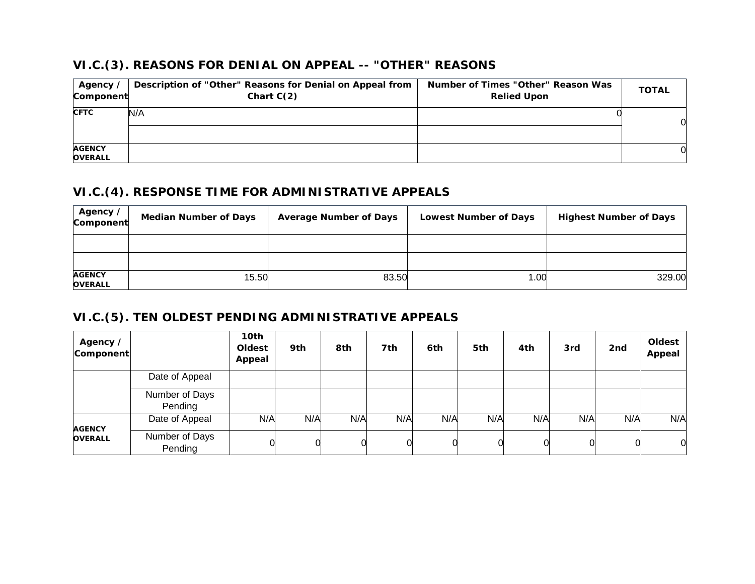#### **VI.C.(3). REASONS FOR DENIAL ON APPEAL -- "OTHER" REASONS**

| Agency ∕<br>Component           | Description of "Other" Reasons for Denial on Appeal from<br>Chart $C(2)$ | Number of Times "Other" Reason Was<br><b>Relied Upon</b> | <b>TOTAL</b> |
|---------------------------------|--------------------------------------------------------------------------|----------------------------------------------------------|--------------|
| <b>CFTC</b>                     | N/A                                                                      |                                                          | 0            |
| <b>AGENCY</b><br><b>OVERALL</b> |                                                                          |                                                          |              |

#### **VI.C.(4). RESPONSE TIME FOR ADMINISTRATIVE APPEALS**

| Agency /<br>Component           | <b>Median Number of Days</b> | <b>Average Number of Days</b> | <b>Lowest Number of Days</b> | <b>Highest Number of Days</b> |
|---------------------------------|------------------------------|-------------------------------|------------------------------|-------------------------------|
|                                 |                              |                               |                              |                               |
|                                 |                              |                               |                              |                               |
| <b>AGENCY</b><br><b>OVERALL</b> | 15.50                        | 83.50                         | 1.00                         | 329.00                        |

## **VI.C.(5). TEN OLDEST PENDING ADMINISTRATIVE APPEALS**

| Agency /<br>Component |                           | 10th<br>Oldest<br>Appeal | 9th | 8th | 7th | 6th | 5th | 4th | 3rd | 2nd | Oldest<br>Appeal |
|-----------------------|---------------------------|--------------------------|-----|-----|-----|-----|-----|-----|-----|-----|------------------|
|                       | Date of Appeal            |                          |     |     |     |     |     |     |     |     |                  |
|                       | Number of Days<br>Pending |                          |     |     |     |     |     |     |     |     |                  |
| <b>AGENCY</b>         | Date of Appeal            | N/A                      | N/A | N/A | N/A | N/A | N/A | N/A | N/A | N/A | N/A              |
| <b>OVERALL</b>        | Number of Days<br>Pending |                          |     |     |     |     |     |     | 0   |     | 0                |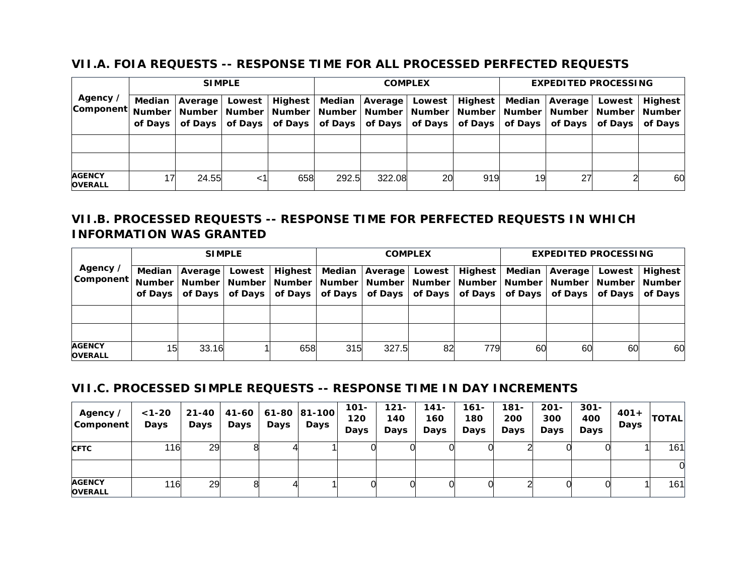#### **VII.A. FOIA REQUESTS -- RESPONSE TIME FOR ALL PROCESSED PERFECTED REQUESTS**

|                                 |    | <b>SIMPLE</b>                                     |        |         | <b>COMPLEX</b> |                                                                                                                                                                                                           |    |     | <b>EXPEDITED PROCESSING</b> |                                                   |        |         |
|---------------------------------|----|---------------------------------------------------|--------|---------|----------------|-----------------------------------------------------------------------------------------------------------------------------------------------------------------------------------------------------------|----|-----|-----------------------------|---------------------------------------------------|--------|---------|
| Agency /<br><b>Component</b>    |    | Median   Average  <br>of Days   of Days   of Days | Lowest | Highest |                | Median   Average   Lowest   Highest  <br>  Number   Number   Number   Number   Number   Number   Number   Number   Number   Number   Number   Number  <br>of Days   of Days   of Days   of Days   of Days |    |     | of Days                     | Median   Average  <br>of Days   of Days   of Days | Lowest | Highest |
|                                 |    |                                                   |        |         |                |                                                                                                                                                                                                           |    |     |                             |                                                   |        |         |
|                                 |    |                                                   |        |         |                |                                                                                                                                                                                                           |    |     |                             |                                                   |        |         |
| <b>AGENCY</b><br><b>OVERALL</b> | 17 | 24.55                                             | <1     | 658     | 292.5          | 322.08                                                                                                                                                                                                    | 20 | 919 | 19                          | 27                                                |        | 60      |

## **VII.B. PROCESSED REQUESTS -- RESPONSE TIME FOR PERFECTED REQUESTS IN WHICH INFORMATION WAS GRANTED**

|                                                                                                                           | <b>SIMPLE</b> |                                        |         |         |     | <b>COMPLEX</b> |    |                                                                                                                                  |    | <b>EXPEDITED PROCESSING</b> |        |                |  |
|---------------------------------------------------------------------------------------------------------------------------|---------------|----------------------------------------|---------|---------|-----|----------------|----|----------------------------------------------------------------------------------------------------------------------------------|----|-----------------------------|--------|----------------|--|
| Agency /<br> Component   Number   Number   Number   Number   Number   Number   Number   Number   Number   Number   Number | of Davs I     | Median   Average   Lowest  <br>of Days | of Days | Highest |     |                |    | Median   Average   Lowest   Highest  <br>of Days   of Days   of Days   of Days   of Days   of Days   of Days   of Days   of Days |    | Median   Average            | Lowest | <b>Highest</b> |  |
|                                                                                                                           |               |                                        |         |         |     |                |    |                                                                                                                                  |    |                             |        |                |  |
|                                                                                                                           |               |                                        |         |         |     |                |    |                                                                                                                                  |    |                             |        |                |  |
| <b>AGENCY</b><br><b>OVERALL</b>                                                                                           | 15            | 33.16                                  |         | 658     | 315 | 327.5          | 82 | 779                                                                                                                              | 60 | 60                          | 60     | 60             |  |

#### **VII.C. PROCESSED SIMPLE REQUESTS -- RESPONSE TIME IN DAY INCREMENTS**

| Agency ∕<br>Component           | $< 1 - 20$<br>Days | $21 - 40$<br>Days | <b>Days</b> | Days | 41-60   61-80   81-100  <br>Days | $101 -$<br>120<br>Days | 121-<br>140<br>Days | 141-<br>160<br>Days | 161-<br>180<br>Days | 181-<br>200<br><b>Days</b> | $201 -$<br>300<br>Days | $301 -$<br>400<br>Days | $401 +$<br>Days | <b>TOTAL</b> |
|---------------------------------|--------------------|-------------------|-------------|------|----------------------------------|------------------------|---------------------|---------------------|---------------------|----------------------------|------------------------|------------------------|-----------------|--------------|
| <b>CFTC</b>                     | 116                | 29                |             |      |                                  |                        |                     |                     |                     |                            |                        |                        |                 | 161          |
|                                 |                    |                   |             |      |                                  |                        |                     |                     |                     |                            |                        |                        |                 | 0            |
| <b>AGENCY</b><br><b>OVERALL</b> | 116                | 29                |             |      |                                  |                        |                     |                     |                     |                            |                        |                        |                 | 161          |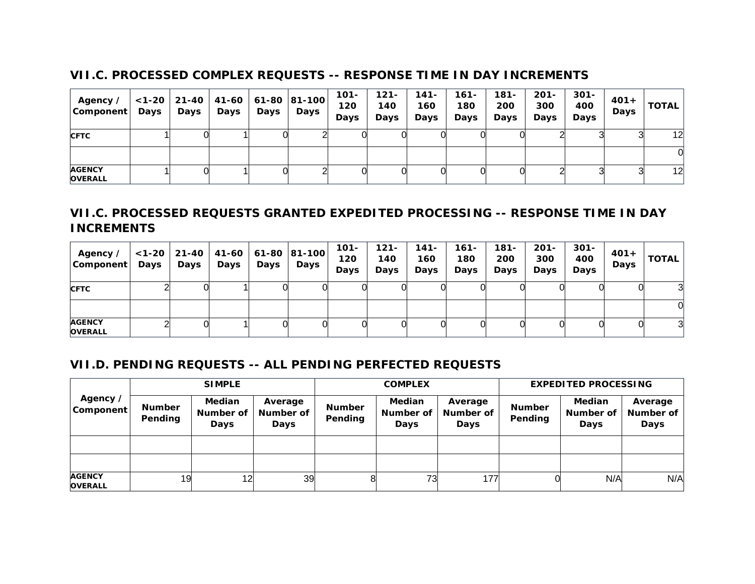#### **VII.C. PROCESSED COMPLEX REQUESTS -- RESPONSE TIME IN DAY INCREMENTS**

| Agency /<br>Component           | Days | Days | Days | Days | $ 1-20 $ 21-40 41-60 61-80 81-100<br>Days | $101 -$<br>120<br>Days | $121 -$<br>140<br>Days | 141-<br>160<br>Days | 161-<br>180<br>Days | $181 -$<br>200<br>Days | $201 -$<br>300<br><b>Days</b> | $301 -$<br>400<br>Days | $401 +$<br>Days | <b>TOTAL</b> |
|---------------------------------|------|------|------|------|-------------------------------------------|------------------------|------------------------|---------------------|---------------------|------------------------|-------------------------------|------------------------|-----------------|--------------|
| <b>CFTC</b>                     |      |      |      |      |                                           |                        |                        |                     |                     |                        |                               |                        |                 | 12           |
|                                 |      |      |      |      |                                           |                        |                        |                     |                     |                        |                               |                        |                 |              |
| <b>AGENCY</b><br><b>OVERALL</b> |      |      |      |      |                                           |                        |                        |                     |                     |                        |                               |                        |                 | 12           |

## **VII.C. PROCESSED REQUESTS GRANTED EXPEDITED PROCESSING -- RESPONSE TIME IN DAY INCREMENTS**

| Agency /<br>  Component         | $<$ 1-20 $ $<br>Days | Days | Days | Days | 21-40   41-60   61-80   81-100  <br>Days | 101-<br>120<br>Days | $121 -$<br>140<br>Days | 141-<br>160<br>Days | 161-<br>180<br>Days | $181 -$<br>200<br>Days | $201 -$<br>300<br>Days | $301 -$<br>400<br>Days | $401+$<br>Days | <b>TOTAL</b> |
|---------------------------------|----------------------|------|------|------|------------------------------------------|---------------------|------------------------|---------------------|---------------------|------------------------|------------------------|------------------------|----------------|--------------|
| <b>CFTC</b>                     |                      |      |      |      |                                          |                     |                        |                     |                     |                        |                        |                        |                |              |
|                                 |                      |      |      |      |                                          |                     |                        |                     |                     |                        |                        |                        |                |              |
| <b>AGENCY</b><br><b>OVERALL</b> |                      |      |      |      |                                          |                     |                        |                     |                     |                        |                        |                        |                | ി            |

### **VII.D. PENDING REQUESTS -- ALL PENDING PERFECTED REQUESTS**

|                                 |                          | <b>SIMPLE</b>                      |                              |                          | <b>COMPLEX</b>                     |                              |                          | <b>EXPEDITED PROCESSING</b>        |                                     |
|---------------------------------|--------------------------|------------------------------------|------------------------------|--------------------------|------------------------------------|------------------------------|--------------------------|------------------------------------|-------------------------------------|
| Agency /<br>Component           | <b>Number</b><br>Pending | <b>Median</b><br>Number of<br>Days | Average<br>Number of<br>Days | <b>Number</b><br>Pending | <b>Median</b><br>Number of<br>Days | Average<br>Number of<br>Days | <b>Number</b><br>Pending | <b>Median</b><br>Number of<br>Days | Average<br>Number of<br><b>Days</b> |
|                                 |                          |                                    |                              |                          |                                    |                              |                          |                                    |                                     |
|                                 |                          |                                    |                              |                          |                                    |                              |                          |                                    |                                     |
| <b>AGENCY</b><br><b>OVERALL</b> | 19                       | 12 <sub>l</sub>                    | 39                           |                          | 73                                 | 177                          |                          | N/A                                | N/A                                 |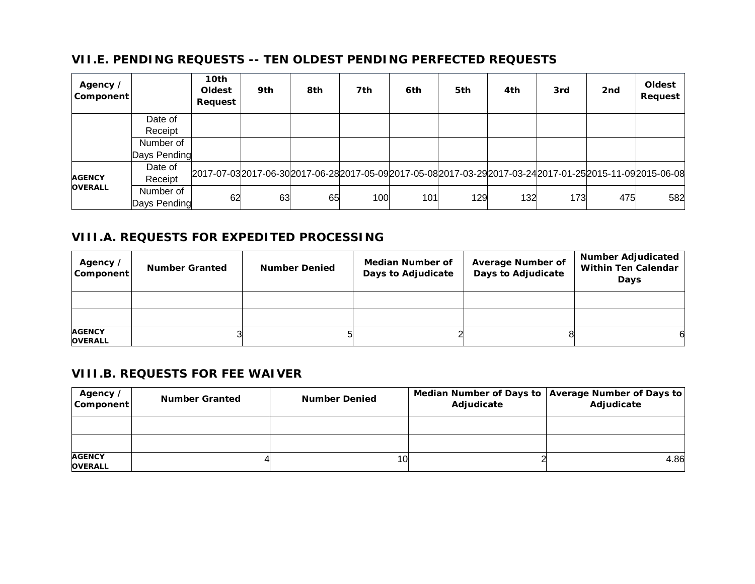### **VII.E. PENDING REQUESTS -- TEN OLDEST PENDING PERFECTED REQUESTS**

| Agency /<br>Component |                           | 10th<br>Oldest<br>Request | 9th | 8th | 7th | 6th | 5th | 4th | 3rd | 2nd | Oldest<br>Request                                                                                             |
|-----------------------|---------------------------|---------------------------|-----|-----|-----|-----|-----|-----|-----|-----|---------------------------------------------------------------------------------------------------------------|
|                       | Date of                   |                           |     |     |     |     |     |     |     |     |                                                                                                               |
|                       | Receipt                   |                           |     |     |     |     |     |     |     |     |                                                                                                               |
|                       | Number of                 |                           |     |     |     |     |     |     |     |     |                                                                                                               |
|                       | Days Pending              |                           |     |     |     |     |     |     |     |     |                                                                                                               |
| <b>AGENCY</b>         | Date of<br>Receipt        |                           |     |     |     |     |     |     |     |     | 2017-07-03 2017-06-30 2017-06-28 2017-05-09 2017-05-08 2017-03-29 2017-03-24 2017-01-25 2015-11-09 2015-06-08 |
| <b>OVERALL</b>        | Number of<br>Days Pending | 62                        | 63  | 65  | 100 | 101 | 129 | 132 | 173 | 475 | 582                                                                                                           |

#### **VIII.A. REQUESTS FOR EXPEDITED PROCESSING**

| Agency /<br>Component           | <b>Number Granted</b> | <b>Number Denied</b> | Median Number of<br>Days to Adjudicate | <b>Average Number of</b><br>Days to Adjudicate | <b>Number Adjudicated</b><br><b>Within Ten Calendar</b><br>Days |
|---------------------------------|-----------------------|----------------------|----------------------------------------|------------------------------------------------|-----------------------------------------------------------------|
|                                 |                       |                      |                                        |                                                |                                                                 |
|                                 |                       |                      |                                        |                                                |                                                                 |
| <b>AGENCY</b><br><b>OVERALL</b> |                       |                      |                                        |                                                |                                                                 |

#### **VIII.B. REQUESTS FOR FEE WAIVER**

| Agency /<br>Component           | <b>Number Granted</b> | <b>Number Denied</b> | Adjudicate | Median Number of Days to   Average Number of Days to  <br>Adjudicate |
|---------------------------------|-----------------------|----------------------|------------|----------------------------------------------------------------------|
|                                 |                       |                      |            |                                                                      |
|                                 |                       |                      |            |                                                                      |
| <b>AGENCY</b><br><b>OVERALL</b> |                       | 10                   |            | 4.86                                                                 |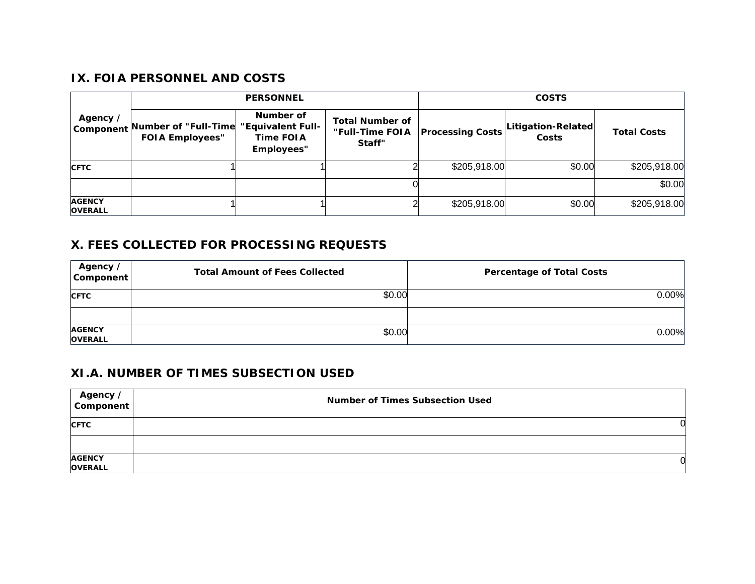#### **IX. FOIA PERSONNEL AND COSTS**

|                                 |                                                | <b>PERSONNEL</b>                                          |                                                     |                         | <b>COSTS</b>                 |                    |
|---------------------------------|------------------------------------------------|-----------------------------------------------------------|-----------------------------------------------------|-------------------------|------------------------------|--------------------|
| Agency /<br>Component           | Number of "Full-Time<br><b>FOIA Employees"</b> | Number of<br>"Equivalent Full-<br>Time FOIA<br>Employees" | <b>Total Number of</b><br>"Full-Time FOIA<br>Staff" | <b>Processing Costs</b> | Litigation-Related <br>Costs | <b>Total Costs</b> |
| <b>CFTC</b>                     |                                                |                                                           |                                                     | \$205,918.00            | \$0.00                       | \$205,918.00       |
|                                 |                                                |                                                           |                                                     |                         |                              | \$0.00             |
| <b>AGENCY</b><br><b>OVERALL</b> |                                                |                                                           |                                                     | \$205,918.00            | \$0.00                       | \$205,918.00       |

#### **X. FEES COLLECTED FOR PROCESSING REQUESTS**

| Agency /<br>Component           | <b>Total Amount of Fees Collected</b> | <b>Percentage of Total Costs</b> |
|---------------------------------|---------------------------------------|----------------------------------|
| <b>CFTC</b>                     | \$0.00                                | $0.00\%$                         |
|                                 |                                       |                                  |
| <b>AGENCY</b><br><b>OVERALL</b> | \$0.00                                | $0.00\%$                         |

## **XI.A. NUMBER OF TIMES SUBSECTION USED**

| Agency /                  | <b>Number of Times Subsection Used</b> |
|---------------------------|----------------------------------------|
| <b>CFTC</b>               |                                        |
|                           |                                        |
| <b>AGENCY<br/>OVERALL</b> |                                        |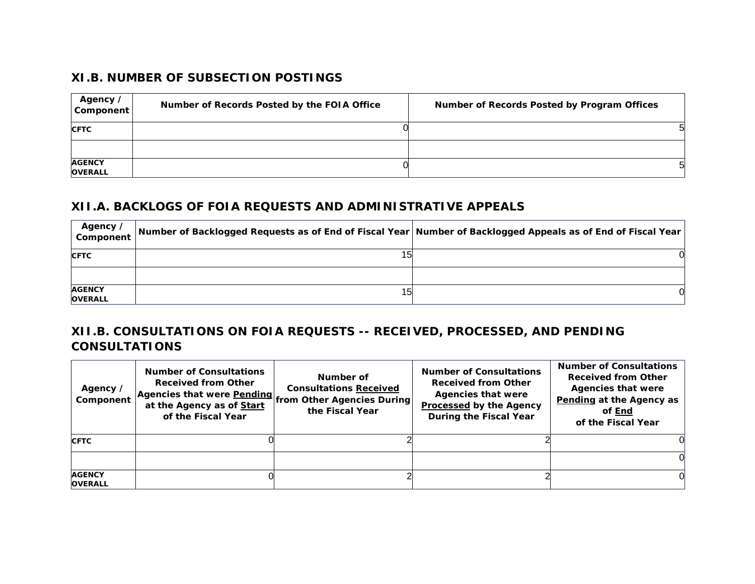#### **XI.B. NUMBER OF SUBSECTION POSTINGS**

| Agency /<br>Component           | Number of Records Posted by the FOIA Office | Number of Records Posted by Program Offices |
|---------------------------------|---------------------------------------------|---------------------------------------------|
| <b>CFTC</b>                     |                                             |                                             |
| <b>AGENCY</b><br><b>OVERALL</b> |                                             | 5                                           |

#### **XII.A. BACKLOGS OF FOIA REQUESTS AND ADMINISTRATIVE APPEALS**

| Agency /<br>Component           | Number of Backlogged Requests as of End of Fiscal Year Number of Backlogged Appeals as of End of Fiscal Year |  |
|---------------------------------|--------------------------------------------------------------------------------------------------------------|--|
| <b>CFTC</b>                     |                                                                                                              |  |
|                                 |                                                                                                              |  |
| <b>AGENCY</b><br><b>OVERALL</b> | 15                                                                                                           |  |

## **XII.B. CONSULTATIONS ON FOIA REQUESTS -- RECEIVED, PROCESSED, AND PENDING CONSULTATIONS**

| Agency /<br>Component           | <b>Number of Consultations</b><br><b>Received from Other</b><br>Agencies that were <b>Pending</b> from Other Agencies During<br>at the Agency as of Start<br>of the Fiscal Year | Number of<br><b>Consultations Received</b><br>the Fiscal Year | <b>Number of Consultations</b><br><b>Received from Other</b><br><b>Agencies that were</b><br><b>Processed by the Agency</b><br>During the Fiscal Year | <b>Number of Consultations</b><br><b>Received from Other</b><br><b>Agencies that were</b><br>Pending at the Agency as<br>of End<br>of the Fiscal Year |
|---------------------------------|---------------------------------------------------------------------------------------------------------------------------------------------------------------------------------|---------------------------------------------------------------|-------------------------------------------------------------------------------------------------------------------------------------------------------|-------------------------------------------------------------------------------------------------------------------------------------------------------|
| <b>CFTC</b>                     |                                                                                                                                                                                 |                                                               |                                                                                                                                                       |                                                                                                                                                       |
|                                 |                                                                                                                                                                                 |                                                               |                                                                                                                                                       |                                                                                                                                                       |
| <b>AGENCY</b><br><b>OVERALL</b> |                                                                                                                                                                                 |                                                               |                                                                                                                                                       |                                                                                                                                                       |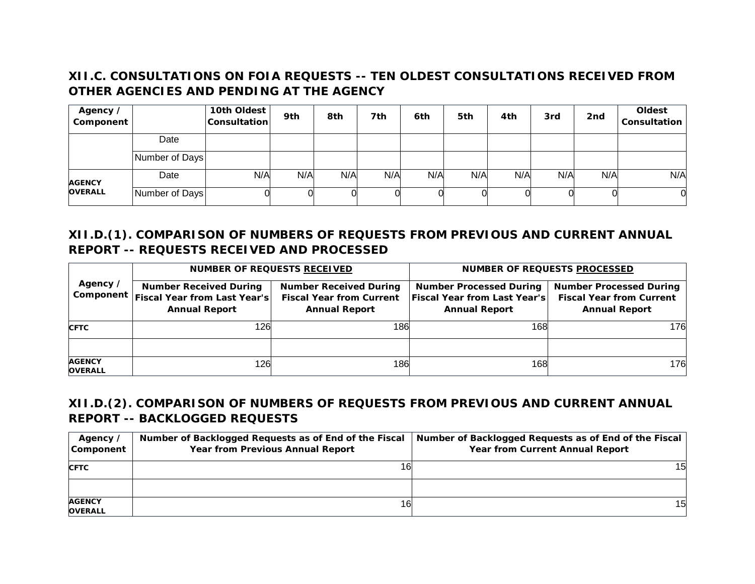## **XII.C. CONSULTATIONS ON FOIA REQUESTS -- TEN OLDEST CONSULTATIONS RECEIVED FROM OTHER AGENCIES AND PENDING AT THE AGENCY**

| Agency /<br>Component           |                | 10th Oldest<br><b>Consultation</b> | 9th | 8th | 7th | 6th | 5th | 4th | 3rd | 2 <sub>nd</sub> | Oldest<br>Consultation |
|---------------------------------|----------------|------------------------------------|-----|-----|-----|-----|-----|-----|-----|-----------------|------------------------|
|                                 | Date           |                                    |     |     |     |     |     |     |     |                 |                        |
|                                 | Number of Days |                                    |     |     |     |     |     |     |     |                 |                        |
| <b>AGENCY</b><br><b>OVERALL</b> | Date           | N/A                                | N/A | N/A | N/A | N/A | N/A | N/A | N/A | N/A             | N/A                    |
|                                 | Number of Days |                                    |     |     |     |     |     |     |     |                 |                        |

## **XII.D.(1). COMPARISON OF NUMBERS OF REQUESTS FROM PREVIOUS AND CURRENT ANNUAL REPORT -- REQUESTS RECEIVED AND PROCESSED**

|                                 | <b>NUMBER OF REQUESTS RECEIVED</b>                                                                  |                                                                                          | <b>NUMBER OF REQUESTS PROCESSED</b>                                                           |                                                                                           |  |
|---------------------------------|-----------------------------------------------------------------------------------------------------|------------------------------------------------------------------------------------------|-----------------------------------------------------------------------------------------------|-------------------------------------------------------------------------------------------|--|
| Agency /                        | <b>Number Received During</b><br>Component   Fiscal Year from Last Year's  <br><b>Annual Report</b> | <b>Number Received During</b><br><b>Fiscal Year from Current</b><br><b>Annual Report</b> | <b>Number Processed During</b><br><b>Fiscal Year from Last Year's</b><br><b>Annual Report</b> | <b>Number Processed During</b><br><b>Fiscal Year from Current</b><br><b>Annual Report</b> |  |
| <b>CFTC</b>                     | 126                                                                                                 | 186                                                                                      | 168                                                                                           | 176                                                                                       |  |
|                                 |                                                                                                     |                                                                                          |                                                                                               |                                                                                           |  |
| <b>AGENCY</b><br><b>OVERALL</b> | 126                                                                                                 | 186                                                                                      | 168                                                                                           | 176                                                                                       |  |

## **XII.D.(2). COMPARISON OF NUMBERS OF REQUESTS FROM PREVIOUS AND CURRENT ANNUAL REPORT -- BACKLOGGED REQUESTS**

| Agency /<br>Component           | Number of Backlogged Requests as of End of the Fiscal<br><b>Year from Previous Annual Report</b> | Number of Backlogged Requests as of End of the Fiscal<br><b>Year from Current Annual Report</b> |
|---------------------------------|--------------------------------------------------------------------------------------------------|-------------------------------------------------------------------------------------------------|
| <b>CFTC</b>                     |                                                                                                  | 15                                                                                              |
|                                 |                                                                                                  |                                                                                                 |
| <b>AGENCY</b><br><b>OVERALL</b> | 16                                                                                               | 15                                                                                              |